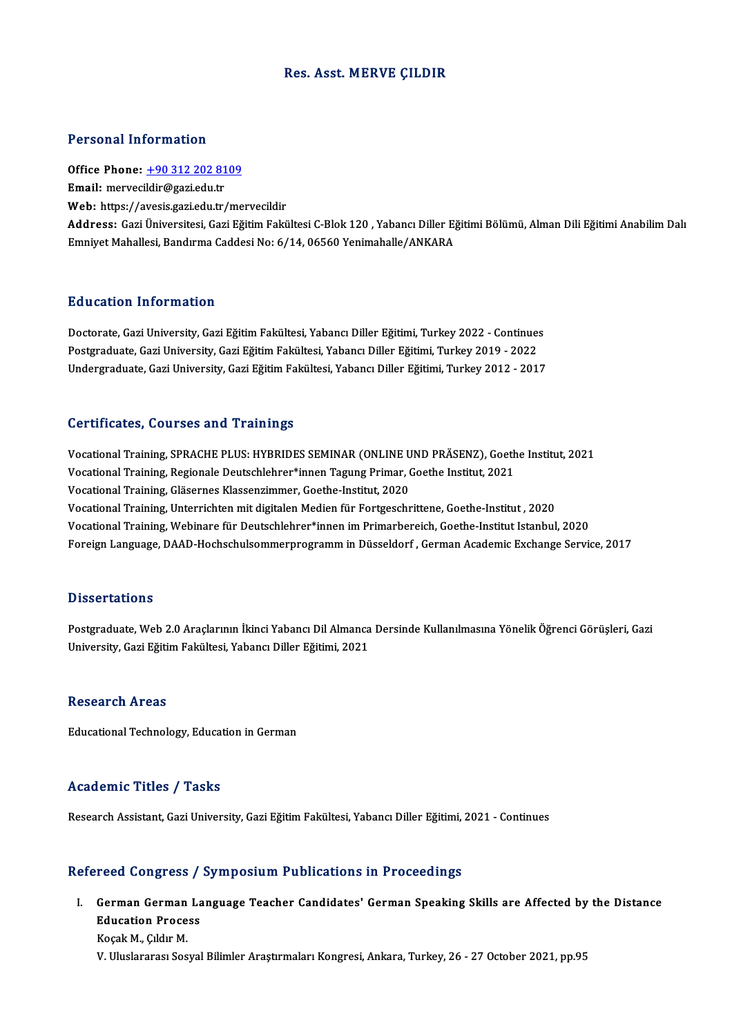## Res. Asst.MERVE ÇILDIR

### Personal Information

Personal Information<br>Office Phone: <u>+90 312 202 8109</u><br>Email: morvesildir@ssriedu.tr 1 STOSHET INTO INTERNATION<br>Office Phone: <u>+90 312 202 81</u><br>Email: merveci[ldir@gazi.edu.tr](tel:+90 312 202 8109) Email: mervecildir@gazi.edu.tr<br>Web: https://avesis.gazi.edu.tr/mervecildir Address: GaziÜniversitesi,GaziEğitimFakültesiC-Blok120 ,YabancıDiler EğitimiBölümü,AlmanDiliEğitimiAnabilimDalı Emniyet Mahallesi, Bandırma Caddesi No: 6/14, 06560 Yenimahalle/ANKARA

# Education Information

**Education Information**<br>Doctorate, Gazi University, Gazi Eğitim Fakültesi, Yabancı Diller Eğitimi, Turkey 2022 - Continues<br>Postsraduate Cazi University, Cazi Eğitim Fakültesi, Yabancı Diller Eğitimi, Turkey 2019, 2022 Pu u sutrom minominusion<br>Doctorate, Gazi University, Gazi Eğitim Fakültesi, Yabancı Diller Eğitimi, Turkey 2022 - Continue:<br>Postgraduate, Gazi University, Gazi Eğitim Fakültesi, Yabancı Diller Eğitimi, Turkey 2019 - 2022<br>U Postgraduate, Gazi University, Gazi Eğitim Fakültesi, Yabancı Diller Eğitimi, Turkey 2019 - 2022<br>Undergraduate, Gazi University, Gazi Eğitim Fakültesi, Yabancı Diller Eğitimi, Turkey 2012 - 2017

## Certificates, Courses and Trainings

Certificates, Courses and Trainings<br>Vocational Training, SPRACHE PLUS: HYBRIDES SEMINAR (ONLINE UND PRÄSENZ), Goethe Institut, 2021<br>Vesstional Training, Besienale Deutschlebrer\*innen Tesung Primer, Coethe Institut, 2021 Vocational Training, SPRACHE PLUS: HYBRIDES SEMINAR (ONLINE UND PRÄSENZ), Goeth<br>Vocational Training, Regionale Deutschlehrer\*innen Tagung Primar, Goethe Institut, 2021<br>Vocational Training, Glässmes Klassenzimmer, Gosthe In Vocational Training, SPRACHE PLUS: HYBRIDES SEMINAR (ONLINE U<br>Vocational Training, Regionale Deutschlehrer\*innen Tagung Primar, (<br>Vocational Training, Gläsernes Klassenzimmer, Goethe-Institut, 2020<br>Vocational Training, Unt Vocational Training, Regionale Deutschlehrer\*innen Tagung Primar, Goethe Institut, 2021<br>Vocational Training, Gläsernes Klassenzimmer, Goethe-Institut, 2020<br>Vocational Training, Unterrichten mit digitalen Medien für Fortges VocationalTraining,Webinare fürDeutschlehrer\*innenimPrimarbereich,Goethe-Institut Istanbul,2020 Foreign Language, DAAD-Hochschulsommerprogramm in Düsseldorf, German Academic Exchange Service, 2017

### **Dissertations**

Postgraduate, Web 2.0 Araçlarının İkinci Yabancı Dil Almanca Dersinde Kullanılmasına Yönelik Öğrenci Görüşleri, Gazi University, Gazi Eğitim Fakültesi, Yabancı Diller Eğitimi, 2021

### Research Areas

Educational Technology, Education in German

## Academic Titles / Tasks

Research Assistant, Gazi University, Gazi Eğitim Fakültesi, Yabancı Diller Eğitimi, 2021 - Continues

## Refereed Congress / Symposium Publications in Proceedings

efereed Congress / Symposium Publications in Proceedings<br>I. German German Language Teacher Candidates' German Speaking Skills are Affected by the Distance reed dengress?<br>German German La<br>Education Process German German<br>Education Proce<br>Koçak M., Çıldır M.<br>W. Uluslaranas Sas Education Process<br>Koçak M., Çıldır M.<br>V. Uluslararası Sosyal Bilimler Araştırmaları Kongresi, Ankara, Turkey, 26 - 27 October 2021, pp.95